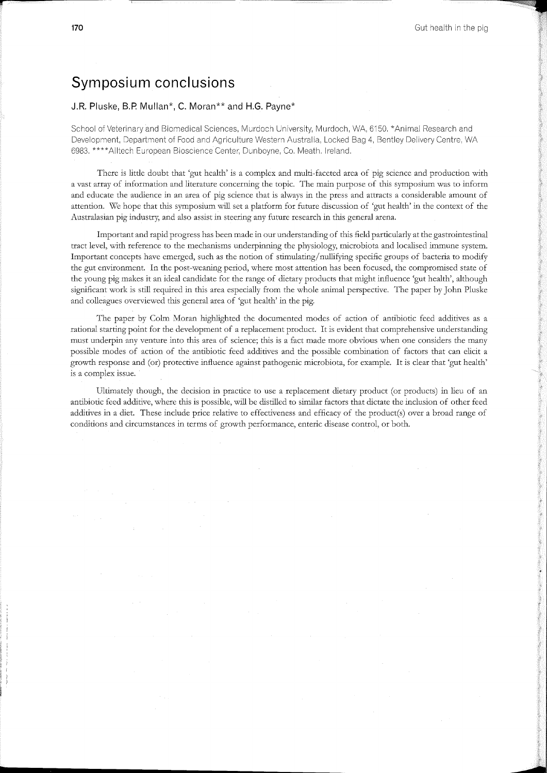## **Symposium conclusions**

## **J.R. Pluske, B.P. Mullan\*, C. Moran\*\* and H.G. Payne\***

School of Veterinary and Biomedical Sciences, Murdoch University, Murdoch, WA, 6150. \*Animal Research and Development, Department of Food and Agriculture Western Australia, Locked Bag 4, Bentley Delivery Centre, WA 6983. \*\*\*\*AIItech European Bioscience Center, Dunboyne, Co. Meath. Ireland.

There is little doubt that 'gut health' is a complex and multi-faceted area of pig science and production with a vast array of information and literature concerning the topic. The main purpose of this symposium was to inform and educate the audience in an area of pig science that is always in the press and attracts a considerable amount of attention. We hope that this symposium will set a platform for future discussion of 'gut health' in the context of the Australasian pig industry, and also assist in steering any future research in this general arena.

Important and rapid progress has been made in our understanding of this field particularly at the gastrointestinal tract level, with reference to the mechanisms underpinning the physiology, microbiota and localised immune system. Important concepts have emerged, such as the notion of stimulating/ nullifying specific groups of bacteria to modify the gut environment. In the post-weaning period, where most attention has been focused, the compromised state of the young pig makes it an ideal candidate for the range of dietary products that might influence 'gut health', although significant work is still required in this area especially from the whole animal perspective. The paper by John Pluske and colleagues overviewed this general area of 'gut health' in the pig.

The paper by Colm Moran highlighted the documented modes of action of antibiotic feed additives as a rational starting point for the development of a replacement product. It is evident that comprehensive understanding must underpin any venture into this area of science; this is a fact made more obvious when one considers the many possible modes of action of the antibiotic feed additives and the possible combination of factors that can elicit a growth response and (or) protective influence against pathogenic microbiota, for example. It is clear that 'gut health' is a complex issue.

Ultimately though, the decision in practice to use a replacement dietary product (or products) in lieu of an antibiotic feed additive, where this is possible, will be distilled to similar factors that dictate the inclusion of other feed additives in a diet. These include price relative to effectiveness and efficacy of the product(s) over a broad range of conditions and circumstances in terms of growth performance, enteric disease control, or both.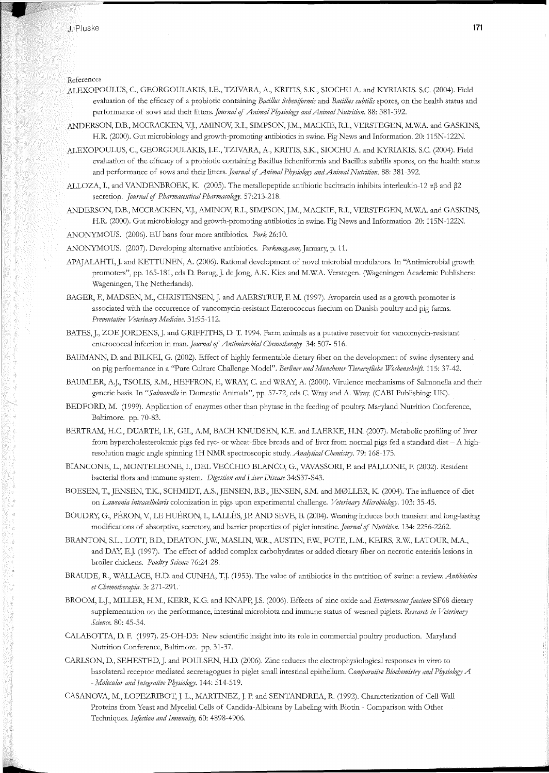References

1 .• : •• ~~ •

- ALEXOPOULUS, C., GEORGOULAKIS, I.E., TZIVARA, A., KRITIS, S.K., SIOCHU A. and KYRIAKIS. S.C. (2004). Field evaluation of the efficacy of a probiotic containing *Bacillus licheniformis* and *Bacillus subtilis* spores, on the health status and performance of sows and their litters. *Journal* of *Animal Physiology and Animal Nutrition.* 88: 381-392.
- ANDERSON, D.B., MCCRACKEN, V.J., AMINOV, R.I., SIMPSON, J.M., MACKIE, R.I., VERSTEGEN, M.W.A. and GASKINS, H.R. (2000). Gut microbiology and growth-promoting antibiotics in swine. Pig News and Information. 20: 115N-122N.
- ALEXOPOULUS, C., GEORGOULAKIS, I.E., TZIVARA, A., KRITIS, S.K., SIOCHU A. and KYRIAKIS. S.C. (2004). Field evaluation of the efficacy of a probiotic containing Bacillus licheniformis and Bacillus subtilis spores, on the health status and performance of sows and their litters. *Journal* of *Animal Physiology and Animal Nutrition.* 88: 381-392.
- ALLOZA, I., and VANDENBROEK, K. (2005). The metallopeptide antibiotic bacitracin inhibits interleukin-12  $\alpha\beta$  and  $\beta$ 2 secretion. *Journal* of *Pharmaceutical Pharmacology.* 57:213-218.
- ANDERSON, D.B., MCCRACKEN, V.J., AMINOV, R.I., SIMPSON, J.M., MACKIE, R.I., VERSTEGEN, M.W.A. and GASKINS, H.R. (2000). Gut microbiology and growth-promoting antibiotics in swine. Pig News and Information. 20: 115N-122N.

ANONYMOUS. (2006). EU bans four more antibiotics. *Pork* 26:10.

ANONYMOUS. (2007). Developing alternative antibiotics. *Porkmag.com,* January, p. 11.

- APAJALAHTI,]. and KETTUNEN, A. (2006). Rational development of novel microbial modulators. In "Antimicrobial growth promoters", pp. 165-181, eds D. Barug,]. de Jong, A.K. Kies and M.WA. Verstegen. (Wageningen Academic Publishers: Wageningen, The Netherlands).
- EAGER, F., M.ADSEN, M., CHRISTENSEN,]. and AAERSTRUP, F. M. (1997). Avoparcin used as a growth promoter is associated with the occurrence of vancomycin-resistant Enterococcus faecium on Danish poultry and pig farms. *Preventative Veterinary Medicine.* 31:95-112.
- BATES, J., ZOE JORDENS,]. and GRIFFITHS, D. T. 1994. Farm animals as a putative reservoir for vancomycin-resistant enterococcal infection in man. *Journal* of *Antimicrobial Chemotherapy* 34: 507- 516.
- BAUMANN, D. and BILKEI, G. (2002). Effect of highly fermentable dietary fiber on the development of swine dysentery and on pig performance in a "Pure Culture Challenge Model". Berliner und Munchener Tierarztliche Wochenschrift. 115: 37-42.
- BAUMLER, A.J., TSOLIS, R.M., HEFFRON, F., WRAY, C. and WRAY, A. (2000). Virulence mechanisms of Salmonella and their genetic basis. In "Salmonella in Domestic Animals", pp. 57-72, eds C. Wray and A. Wray. (CABI Publishing: UK).
- BEDFORD, M. (1999). Application of enzymes other than phytase in the feeding of poultry. Maryland Nutrition Conference, Baltimore. pp. 70-83.
- BERTRAM, H.C., DUARTE, I.F., GIL, A.M, BACH KNUDSEN, K.E. and LAERKE, H.N. (2007). Metabolic profiling of liver from hypercholesterolemic pigs fed rye- or wheat-fibre breads and of liver from normal pigs fed a standard diet- A highresolution magic angle spinning 1H NMR spectroscopic study. *Analytical Chemistry.* 79: 168-175.
- BIANCONE, L., MONTELEONE, I., DEL VECCHIO BLANCO, G., VAVASSORI, P. and PALLONE, F. (2002). Resident bacterial flora and immune system. *Digestion and Liver Disease* 34:S37-S43.
- BOESEN, T., JENSEN, T.K., SCHMIDT, A.S., JENSEN, B.B., JENSEN, S.M. and M0LLER, K. (2004). The influence of *diet*  on *Law sonia intracellularis* colonization in pigs upon experimental challenge. *Veterinary MiC1·obiology.* 103: 35-45.
- BOUDRY, G., PERON, V, LE HUERON, I., LALLES, J.P. AND SEVE, B. (2004). Weaning induces both transient and long-lasting modifications of absorptive, secretory; and barrier properties of piglet intestine. *Journal* of *Nutrition.* 134: 2256-2262.
- BRANTON, S.L., LOTT, B.D., DEATON, J.W., MASLIN, W.R., AUSTIN, F.W., POTE, L.M., KEIRS, R.W., LATOUR, M.A., and DAY, E.J. (1997). The effect of added complex carbohydrates or added dietary fiber on necrotic enteritis lesions in broiler chickens. *Poultry Science* 76:24-28.
- BRAUDE, R., WALLACE, H.D. and CUNHA, T.J. (1953). The value of antibiotics in the nutrition of swine: a review. *Antibiotica et Chemotherapia.* 3: 271-291.
- BROOM, L.J., MILLER, H.M., KERR, K.G. and KNAPP, J.S. (2006). Effects of zinc oxide and *Enterococcus faecium* SF68 dietary supplementation on the performance, intestinal microbiota and immune status of weaned piglets. *Research in Veterinary Science.* 80: 45-54.
- CALABOTTA, D. F. (1997). 25-0H-D3: New scientific insight into its role in commercial poultry production. Maryland Nutrition Conference, Baltimore. pp. 31-37.
- CARLSON, D., SEHESTED,J. and POULSEN, H.D. (2006). Zinc reduces the electrophysiological responses in vitro to basolateral receptor mediated secretagogues in piglet small intestinal epithelium. *Comparative Biochemistry and Physiology A -Molecular and Integrative Pb)!Siology.* 144: 514-519.
- CASANOVA, M., LOPEZRIBOT, J. L., MARTINEZ, J. P. and SENTANDREA, R. (1992). Characterization of Cell-Wall Proteins from Yeast and Mycelial Cells of Candida-Albicans by Labeling with Biotin- Comparison with Other Techniques. *Infection and Immunity,* 60: 4898-4906.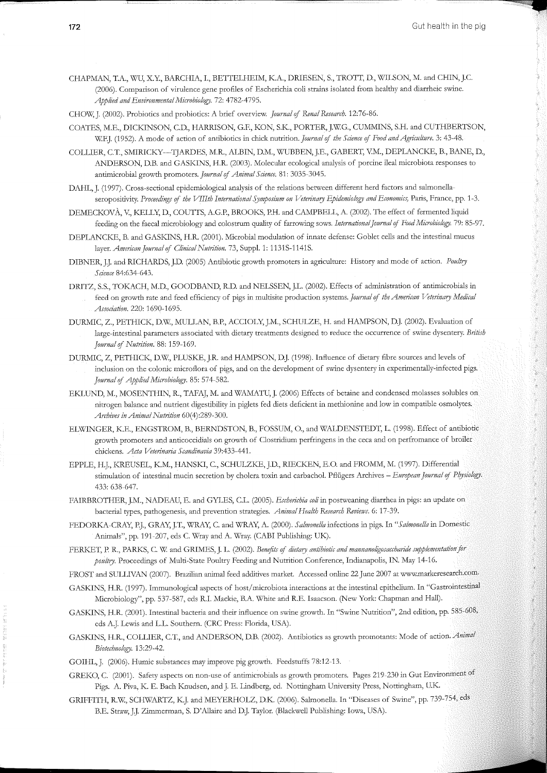- CHAPMAN, T.A., WU, X.Y., BARCHIA, I., BETTELHEIM, K.A., DRIESEN, S., TROTT, D., WILSON, M. and CHIN, J.C. (2006). Comparison of virulence gene profiles of Escherichia coli strains isolated from healthy and diarrheic swine. Applied and Environmental Microbiology. 72: 4782-4795.
- CHOW, J. (2002). Probiotics and probiotics: A brief overview. *Journal* if *Renal Research.* 12:76-86.
- COATES, M.E., DICKINSON, C.D., HARRISON, G.F., KON, S.K., PORTER,J.WG., CUMMINS, S.H. and CUTHBERTSON, WF.J. (1952). A mode of action of antibiotics in chick nutrition. *Journal* if *the Science* if *Food and Agriculture.* 3: 43-48.
- COLLIER, C.T., SMIRICKY-TJARDES, M.R., ALBIN, D.M., WUBBEN, J.E., GABERT, VM., DEPLANCKE, B., BANE, D., ANDERSON, D.B. and GASKINS, H.R. (2003). Molecular ecological analysis of porcine ileal microbiota responses to antimicrobial growth promoters. *Journal of Animal Science*. 81: 3035-3045.
- DAHL, J. (1997). Cross-sectional epidemiological analysis of the relations between different herd factors and salmonellaseropositivity. Proceedings of the VIIIth International Symposium on Veterinary Epidemiology and Economics, Paris, France, pp. 1-3.
- DEMECKOVÀ, V., KELLY, D., COUTTS, A.G.P., BROOKS, P.H. and CAMPBELL, A. (2002). The effect of fermented liquid feeding on the faecal microbiology and colostrum quality of farrowing sows. *International Journal* if *Food Microbiology.* 79: 85-97.
- DEPLANCKE, B. and GASKINS, H.R. (2001). Microbial modulation of innate defense: Goblet cells and the intestinal mucus layer. *American Journal of Clinical Nutrition*. 73, Suppl. 1: 1131S-1141S.
- DIBNER, JJ. and RICHARDS, J.D. (2005) Antibiotic growth promoters in agriculture: History and mode of action. *Poultry Science* 84:634-643.
- DRITZ, S.S., TOKACH, M.D., GOODBAND, R.D. and NELSSEN, J.L. (2002). Effects of administration of antimicrobials in feed on growth rate and feed efficiency of pigs in multisite production systems. *Journal* if *the Amen·can Veterinary Medical Association.* 220: 1690-1695.
- DURMIC, Z., PETHICK, D.W, MULLAN, B.P., ACCIOLY,J.M., SCHULZE, H. and HAMPSON, D.]. (2002). Evaluation of large-intestinal parameters associated with dietary treatments designed to reduce the occurrence of swine dysentery. *British Journal* if *Nutntion.* 88: 159-169.
- DURMIC, Z, PETHICK, D.W., PLUSKE, J.R. and HAMPSON, D.J. (1998). Influence of dietary fibre sources and levels of inclusion on the colonic microflora of pigs, and on the development of swine dysentery in experimentally-infected pigs. *Journal* if *Applied Microbiology.* 85: 57 4-582.
- EKLUND, M., MOSENTHIN, R., TAFAJ, M. and WAMATU,J. (2006) Effects of betaine and condensed molasses solubles on nitrogen balance and nutrient digestibility in piglets fed diets deficient in methionine and low in compatible osmolytes. *Archives in Animal Nutntion* 60(4):289-300.
- ELWINGER, K.E., ENGSTROM, B., BERNDSTON, B., FOSSUM, 0., and WALDENSTEDT, L. (1998). Effect of antibiotic growth promoters and anticoccidials on growth of Clostridium perfringens in the ceca and on perfromance of broiler chickens. *Acta Veterinaria Scandinavia* 39:433-441.
- EPPLE, H.J., KREUSEL, K.M., HANSKI, C., SCHULZKE, J.D., RIECKEN, E.O. and FROMM, M. (1997). Differential stimulation of intestinal mucin secretion by cholera toxin and carbachol. Pfliigers Archives *-European Jottrnal* if *Physiology.*  433: 638-647.
- FAIRBROTHER, J.M., NADEAU, E. and GYLES, C.L. (2005). *Escherichia coli* in postweaning diarrhea in pigs: an update on bacterial types, pathogenesis, and prevention strategies. *Animal Health Research Reviews.* 6: 17-39.
- FEDORKA-CRAY, P.J., GRAY, J.T., WRAY, C. and WRAY, A. (2000). *Salmonella* infections in pigs. In "Salmonella in Domestic Animals", pp. 191-207, eds C. Wray and A. Wray. (CABI Publishing: UK).
- FERKET, P. R., PARKS, C. W. and GRIMES, J. L. (2002). *Benefits of dietary antibiotic and mannanoligosaccharide supplementation for pottltry.* Proceedings of Multi-State Poultry Feeding and Nutrition Conference, Indianapolis, IN. May 14-16.
- FROST and SULLNAN (2007). Brazilian animal feed additives market. Accessed online 22 June 2007 at www.markeresearch.com.
- GASKINS, H.R. (1997). Immunological aspects of host/microbiota interactions at the intestinal epithelium. In "Gastrointestinal Microbiology", pp. 537-587, eds R.I. Mackie, B.A. White and R.E. Isaacson. (New York: Chapman and Hall).
- GASKINS, H.R. (2001). Intestinal bacteria and their influence on swine growth. In "Swine Nutrition", 2nd edition, pp. 585-608, eds AJ. Lewis and L.L. Southern. (CRC Press: Florida, USA).
- GASKINS, H.R., COLLIER, C.T., and ANDERSON, D.B. (2002). Antibiotics as growth promotants: Mode of action. *Animal Biotechnology.* 13:29-42.
- GOIHL, J. (2006). Humic substances may improve pig growth. Feedstuffs 78:12-13.
- GREKO, C. (2001). Safety aspects on non-use of antimicrobials as growth promoters. Pages 219-230 in Gut Environment of Pigs. A. Piva, K. E. Bach Knudsen, and J. E. Lindberg, ed. Nottingham University Press, Nottingham, U.K.
- GRIFFITH, R.W, SCHWARTZ, K.J. and MEYERHOLZ, D.K (2006). Salmonella. In "Diseases of Swine", pp. 739-754, eds B.E. Straw, J.J. Zimmerman, S. D'Allaire and D.J. Taylor. (Blackwell Publishing: Iowa, USA).

**THE REAL PROPERTY AND REAL PROPERTY**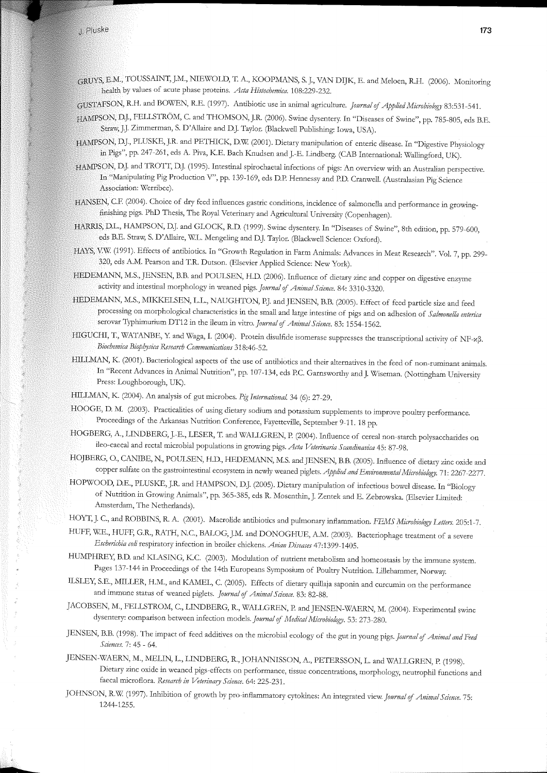## .j. Pluske

E.M., TOUSSAINT, J.M., NIEWOLD, T. A., KOOPMANS, S. *].,* VAN DIJK, E. and Meloen, R.H. (2006). Monitoring health by values of acute phase proteins. *Acta Histochemica.* 108:229-232.

GUSTAFSON, R.H. and BOWEN, R.E. (1997). Antibiotic use in animal agriculture. *Journal* of *Applied Microbiology* 83:531-541.

- HAMPSON, D.J., FELLSTROM, C. and THOMSON, JR. (2006). Swine dysentery. In "Diseases of Swine", pp. 785-805, eds B.E. Straw;JJ. Zimmerman, S. D'Allaire and DJ. Taylor. (Blackwell Publishing: Iowa, USA).
- HAMPSON, D.J., PLUSKE, JR. and PETHICK, D.W (2001). Dietary manipulation of enteric disease. In "Digestive Physiology in Pigs", pp. 247-261, eds A. Piva, K.E. Bach Knudsen andJ.-E. Lindberg. (CAB International: Wallingford, UK).
- HAMPSON, DJ. and TROTT, DJ. (1995). Intestinal spirochaetal infections of pigs: An overview with an Australian perspective. In "Manipulating Pig Production V", pp. 139-169, eds D.P. Hennessy and P.D. Cranwell. (Australasian Pig Science Association: Werribee).
- HANSEN, C.F. (2004). Choice of dry feed influences gastric conditions, incidence of salmonella and performance in growingfinishing pigs. PhD Thesis, The Royal Veterinary and Agricultural University (Copenhagen).
- HARRIS, D.L., HAMPSON, DJ. and GLOCK, RD. (1999). Swine dysentery. In "Diseases of Swine", 8th edition, pp. 579-600, eds B.E. Straw, S. D'Allaire, WL. Mengeling and DJ. Taylor. (Blackwell Science: Oxford).
- HAYS, V:W (1991). Effects of antibiotics. In "Growth Regulation in Farm Animals: Advances in Meat Research". Vol. 7, pp. 299- 320, eds A.M. Pearson and T.R. Dutson. (Elsevier Applied Science: New York).
- HEDEMANN, M.S., JENSEN, B.B. and POULSEN, H.D. (2006). Influence of dietary zinc and copper on digestive enzyme activity and intestinal morphology in weaned pigs. *Journal* of *Animal Science.* 84: 3310-3320.
- HEDEMANN, M.S., MIKKELSEN, L.L., NAUGHTON, PJ. and JENSEN, B.B. (2005). Effect of feed particle size and feed processing on morphological characteristics in the small and large intestine of pigs and on adhesion of *Salmonella enterica*  serovar Typhirnurium DT12 in the ileum in vitro. *Journal* of *Animal Science.* 83: 1554-1562.
- HIGUCHI, T., WATANBE, Y. and Waga, I. (2004). Protein disulfide isomerase suppresses the transcriptional activity of NF-x.3. *Biochemica Biophysica Research Communications* 318:46-52.
- HILLMAN, K. (2001). Bacteriological aspects of the use of antibiotics and their alternatives in the feed of non-ruminant animals. In "Recent Advances in Animal Nutrition", pp. 107-134, eds P.C. Garnsworthy and J. Wiseman. (Nottingham University Press: Loughborough, UK}
- HILLMAN, K. (2004). An analysis of gut microbes. *Pig InternationaL* 34 (6): 27-29.
- HOOGE, D. M. (2003). Practicalities of using dietary sodium and potassium supplements to improve poultry performance. Proceedings of the Arkansas Nutrition Conference, Fayetteville, September 9-11. 18 pp.
- HOGBERG, A., LINDBERG,J.-E., LESER, T. and WALLGREN, P. (2004). Influence of cereal non-starch polysaccharides on ileo-caecal and rectal microbial populations in growing pigs. *Acta Veterinaria Scandinavica* 45: 87-98.
- HOJBERG, 0., CANIBE, N., POULSEN, H.D., HEDEMANN, M.S. and JENSEN, B.B. (2005). Influence of dietary zinc oxide and copper sulfate on the gastrointestinal ecosystem in newly weaned piglets. *Applied and Environmental Microbiology.* 71: 2267-2277.
- HOPWOOD, D.E., PLUSKE, J.R. and HAMPSON, D.J. (2005). Dietary manipulation of infectious bowel disease. In "Biology of Nutrition in Growing Animals", pp. 365-385, eds R. Mosenthin, J. Zentek and E. Zebrowska. (Elsevier Limited: Amsterdam, The Netherlands).
- HOYT,]. C., and ROBBINS, R. A. (2001). Macrolide antibiotics and pulmonary inflammation. *FEMS Microbiology Letters.* 205:1-7.
- HUFF, WE., HUFF, G.R., RATH, N.C., BALOG,J.M. and DONOGHUE, A.M. (2003). Bacteriophage treatment of a severe *Escherichia coli* respiratory infection in broiler chickens. *Avian Diseases* 47:1399-1405.
- HUMPHREY, B.D. and KLASING, K.C. (2003). Modulation of nutrient metabolism and homeostasis by the immune system. Pages 137-144 in Proceedings of the 14th Europeans Symposium of Poultry Nutrition. Lillehammer, Norway.
- ILSLEY, S.E., MILLER, H.M., and KAMEL, C. (2005). Effects of dietary quillaja saponin and curcumin on the performance and immune status of weaned piglets. *Journal* of *Animal Science.* 83: 82-88.
- JACOBSEN, M., FELLSTROM, C., LINDBERG, R., WALLGREN, P. andJENSEN-WAERN, M. (2004). Experimental swine dysentery: comparison between infection models. *Journal* of *i\!Iedical Microbiology.* 53: 273-280.
- JENSEN, B.B. (1998). The impact of feed additives on the microbial ecology of the gut in young pigs. *Journal* of *Animal and Feed Sciences.* 7: 45- 64.
- JENSEN-WAERN, M., MELIN, L., LINDBERG, R.,JOHANNISSON, A., PETERSSON, L. and WALLGREN, P. (1998). Dietary zinc oxide in weaned pigs-effects on performance, tissue concentrations, morphology, neutrophil functions and faecal microflora. *Research in Veterinary Science*. 64: 225-231.
- JOHNSON, R.W (1997). Inhibition of growth by pro-inflammatory cytokines: An integrated view. *Journal* of *Animal Science.* 75: 1244-1255.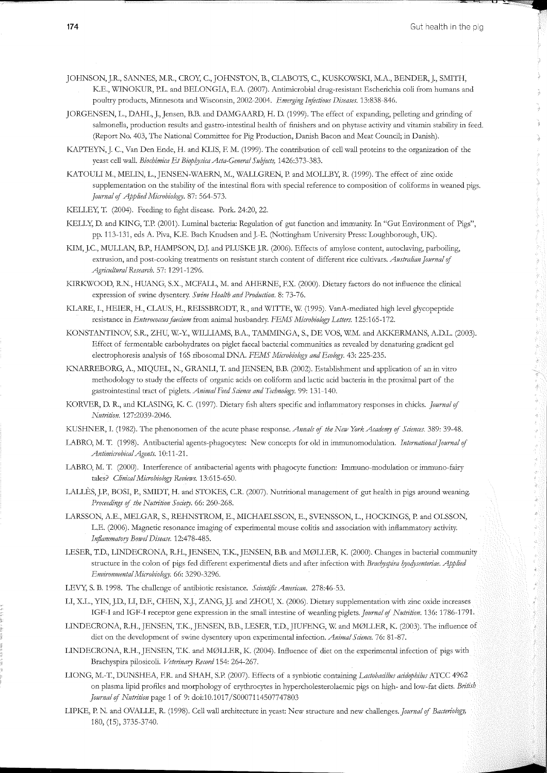¥

i<br>P

1. 医中间性肾上腺炎 医中间性皮炎 医心包 医心包 医心包 医心包 医心包 医小脑的 医心包

JOHNSON, JR., SANNES, M.R., CROY, C., JOHNSTON, B., CLABOTS, C., KUSKOWSI<J, M.A., BENDER,]., SMITH, K.E., WINOKUR, P.L. and BELONGIA, E.A. (2007). Antimicrobial drug-resistant Escherichia coli from humans and poultry products, Minnesota and Wisconsin, 2002-2004. *Emerging Infectious Diseases.* 13:838-846.

- JORGENSEN, L., DAHL, J., Jensen, B.B. and DAMGAARD, H. D. (1999). The effect of expanding, pelleting and grinding of salmonella, production results and gastro-intestinal health of finishers and on phytase activity and vitamin stability in feed. (Report No. 403, The National Committee for Pig Production, Danish Bacon and Meat Council; in Danish).
- KAPTEYN, J. C., Van Den Ende, H. and KLIS, F. M. (1999). The contribution of cell wall proteins to the organization of the yeast cell wall. *Biochimica Et BiophysicaActa-General Subjects,* 1426:373-383.
- KATOULI M., MELIN, L., JENSEN-WAERN, M., WALLGREN, P. and MOLLBY, R. (1999). The effect of zinc oxide supplementation on the stability of the intestinal flora with special reference to composition of coliforms in weaned pigs. *journal* of *Applied Microbiology.* 87: 564-573.
- KELLEY, T. (2004). Feeding to fight disease. Pork. 24:20, 22.
- KELLY, D. and KING, T.P. (2001). Luminal bacteria: Regulation of gut function and immunity. In "Gut Environment of Pigs", pp. 113-131, eds A. Piva, K.E. Bach Knudsen and J.-E. (Nottingham University Press: Loughborough, UK).
- KIM, J.C., MULLAN, B.P., HAMPSON, D.J. and PLUSKE J.R. (2006). Effects of amylose content, autoclaving, parboiling, extrusion, and post-cooking treatments on resistant starch content of different rice cultivars. *Australian Journal* of *Agricultural Research.* 57: 1291-1296.
- KIRKWOOD, R.N., HUANG, S.X., MCFALL, M. and AHERNE, F.X. (2000). Dietary factors do not influence the clinical expression of swine dysentery. *Swine Health and Production.* 8: 73-76.
- KLARE, I., HEIER, H., CLAUS, H., REISSBRODT, R., and WITTE, W. (1995). VanA-mediated high level glycopeptide resistance in *Enterococcusfaecium* from animal husbandry. *FEMS Microbiology Letters.* 125:165-172.
- KONSTANTINOV, S.R., ZHU, W.-Y., WILLIAMS, B.A., TAMMINGA, S., DE VOS, W.M. and AKKERMANS, A.D.L. (2003). Effect of fermentable carbohydrates on piglet faecal bacterial communities as revealed by denaturing gradient gel electrophoresis analysis of 16S ribosomal DNA. *FEMS Microbiology and Ecology.* 43: 225-235.
- KNARREBORG, A., MIQUEL, N., GRANLI, T. and JENSEN, B.B. (2002). Establishment and application of an in vitro methodology to study the effects of organic acids on coliform and lactic acid bacteria in the proximal part of the gastrointestinal tract of piglets. *Animal Feed Science and Technology*. 99: 131-140.
- KORVER, D. R., and IZLASING, K. C. (1997). Dietary fish alters specific and inflammatory responses in chicks. *journal* of *Nutrition.* 127:2039-2046.
- KUSHNER, I. (1982). The phenonomen of the acute phase response. *Annals* of *the New York Academy* of *Sciences.* 389: 39-48.
- LABRO, M. T. (1998). Antibacterial agents-phagocytes: New concepts for old in immunomodulation. *International Journal of AntimicrobicalAgents.* 10:11-21.
- LABRO, M. T. (2000). Interference of antibacterial agents with phagocyte function: Immuno-modulation or immuno-fairy tales? *Clinical Microbiology Reviews.* 13:615-650.
- LALLÈS, J.P., BOSI, P., SMIDT, H. and STOKES, C.R. (2007). Nutritional management of gut health in pigs around weaning. *Proceedings* of *the Nutrition Society.* 66: 260-268.
- LARSSON, A.E., MELGAR, S., REHNSTROM, E., MICHAELSSON, E., SVENSSON, L., HOCKINGS, P. and OLSSON, L.E. (2006). Magnetic resonance imaging of experimental mouse colitis and association with inflammatory activity. *Inflammatory Bowel Disease.* 12:478-485.
- LESER, T.D., LINDECRONA, R.H., JENSEN, T.K., JENSEN, B.B. and M0LLER, K. (2000). Changes in bacterial community structure in the colon of pigs fed different experimental diets and after infection with *Brachyspira hyodysenteriae. Applied Environmental Microbiology.* 66: 3290-3296.
- LEVY, S. B. 1998. The challenge of antibiotic resistance. *S cientiftc American.* 278:46-53.
- LI, X.L., YIN, J.D., LI, D.F., CHEN, X.J., ZANG, J.J. and ZHOU, X. (2006). Dietary supplementation with zinc oxide increases IGF-I and IGF-I receptor gene expression in the small intestine of weanling piglets. *journal* of *Nutrition.* 136: 1786-1791.
- LINDECRONA, R.H., JENSEN, T.K., JENSEN, B.B., LESER, T.D., JIUFENG, W. and MØLLER, K. (2003). The influence of diet on the development of swine dysentery upon experimental infection. *Animal Science.* 76: 81-87.
- LINDECRONA, R.H., JENSEN, T.K. and M0LLER, K. (2004). Influence of diet on the experimental infection of pigs with Brachyspira pilosicoli. *Veterinary Record* 154: 264-267.
- LIONG, M.-T., DUNSHEA, F.R. and SHAH, S.P. (2007). Effects of a synbiotic containing *Lactobacillus acidophilus* ATCC 4962 on plasma lipid profiles and morphology of erythrocytes in hypercholesterolaemic pigs on high- and low-fat diets. *British journal* of *Nutrition* page 1 of 9: doi:10.1017 /S0007114507747803
- LIPI<E, P. N. and OVALLE, R. (1998). Cell wall architecture in yeast: New structure and new challenges. *Journal* of *Bacteriology,*  180, (15), 3735-3740.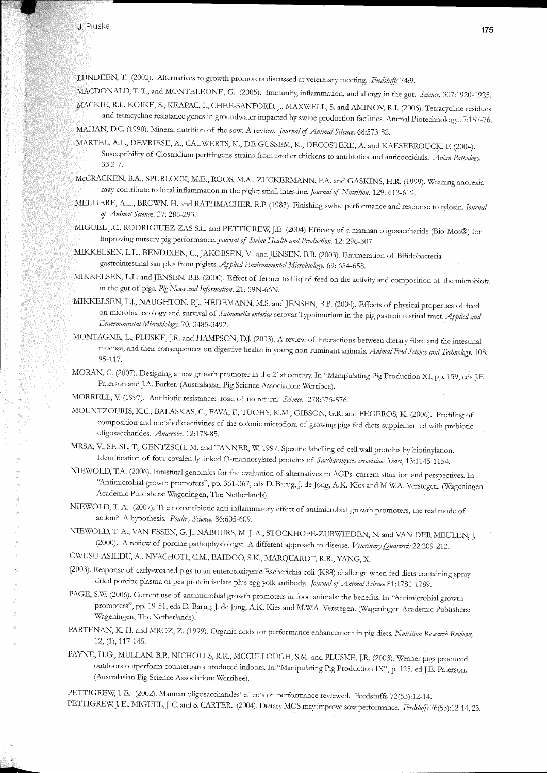LUNDEEN, T. (2002). Alternatives to growth promoters discussed at veterinary meeting. *FeedstuffS* 74:9.

- MACDONALD, T. T., and MONTELEONE, G. (2005). Immunity, inflammation, and allergy in the gut. *Science.* 307:1920-1925. MACKIE, R.I., KOHCE, S., KRAPAC, I., CHEE-SANFORD,J., MAXWELL, S. and AMINOV, R.I. (2006). Tetracycline residues
- and tetracycline resistance genes in groundwater impacted by swine production facilities. Animal Biotechnology.17:157-76. MAHAN, D.C. (1990). Mineral nutrition of the sow: A review. *Journal* of *Animal Science.* 68:573-82.
- MARTEL, A.L., DEVRIESE, A., CAUWERTS, K., DE GUSSEM, K., DECOSTERE, A. and KAESEBROUCK, F. (2004). Susceptibility of Clostridium perfringens strains from broiler chickens to antibiotics and anticoccidials. *Avian Pathology.*  33:3-7.
- McCRACKEN, B.A., SPURLOCK, M.E., ROOS, M.A., ZUCKERMANN, F.A. and GASKINS, H.R. (1999). Weaning anorexia may contribute to local inflammation in the piglet small intestine. *Journal* of *Nutrition.* 129: 613-619.
- MELLIERE, A.L., BROWN, H. and RATHMACHER, R.P. (1983). Finishing swine performance and response to tylosin. *Journal* of *Animal Science.* 37: 286-293.
- MIGUELJ.C., RODRIGIUEZ-ZAS S.L. and PETTIGREW,J.E. (2004) Efficacy of a mannan oligosaccharide (Bio-Mos®) for improving nursery pig performance. *Journal* of *Swine Health and Production.* 12: 296-307.
- MIKKELSEN, L.L., BENDIXEN, C., JAKOBSEN, M. and JENSEN, B.B. (2003). Enumeration of Bifidobacteria gastrointestinal samples from piglets. *Applied Environmental Microbiology*. 69: 654-658.
- MIKKELSEN, L.L. and JENSEN, B.B. (2000). Effect of fermented liquid feed on the activity and composition of the microbiota in the gut of pigs. *Pig News and Information.* 21: 59N-66N.
- MIKKELSEN, L.J., NAUGHTON, P.J., HEDEMANN, M.S. and JENSEN, B.B. (2004). Effects of physical properties of feed on microbial ecology and survival of *Salmonella enterica* serovar Typhimurium in the pig gastrointestinal tract. *Applied and Environmental Microbiology.* 70: 3485-3492.
- MONTAGNE, L., PLUSKE, J.R. and HAMPSON, D.J. (2003). A review of interactions between dietary fibre and the intestinal mucosa, and their consequences on digestive health in young non-ruminant animals. *Animal FeedS cimce and Technology.* 108: 95-117.
- MORAN, C. (2007). Designing a new growth promoter in the 21st century. In "Manipulating Pig Production XI, pp. 159, eds J.E. Paterson and J.A. Barker. (Australasian Pig Science Association: Werribee).
- MORRELL, V. (1997). Antibiotic resistance: road of no return. *Science*. 278:575-576.
- MOUNTZOURIS, K.C., BALASKAS, C., FAVA, F., TUOHY, K.M., GIBSON, G.R. and FEGEROS, K. (2006). Profiling of composition and metabolic activities of the colonic microflora of growing pigs fed diets supplemented with prebiotic oligosaccharides. *Anaerobe.* 12:178-85.
- MRSA, V, SEISL, T., GENTZSCH, M. and TANNER, W 1997. Specific labelling of cell wall proteins by biotinylation. Identification of four covalently linked 0-mannosylated proteins of *Saccharomyces cerevisiae. Yeast,* 13:1145-1154.
- NIEWOLD, T.A. (2006). Intestinal genomics for the evaluation of alternatives to AGPs: current situation and perspectives. In "Antimicrobial growth promoters", pp. 361-367, eds D. Barug,J. de Jong, A.K. Kies and M.WA. Verstegen. (Wageningen Academic Publishers: Wageningen, The Netherlands).
- NIEWOLD, T. A. (2007). The nonantibiotic anti-inflammatory effect of antimicrobial growth promoters, the real mode of action? A hypothesis. *Poultry Science.* 86:605-609.
- NIEWOLD, T. A., VAN ESSEN, G. J., NABUURS, M. J. A., STOCKHOFE-ZURWIEDEN, N. and VAN DER MEULEN, J. (2000). A review of porcine pathophysiology: A different approach to disease. *Veterinary Quarterly* 22:209-212.

OWUSU-ASIEDU, A., NYACHOTI, C.M., BAIDOO, S.K., MARQUARDT, R.R., YANG, X.

- (2003). Response of early-weaned pigs to an enterotoxigenic Escherichia coli (K88) challenge when fed diets containing spraydried porcine plasma or pea protein isolate plus egg yolk antibody. *Journal* of *Animal Science* 81:1781-1789.
- PAGE, S.W (2006). Current use of antimicrobial growth promoters in food animals: the benefits. In ''Antimicrobial growth promoters", pp. 19-51, eds D. Barug, J. de Jong, A.K. Kies and M.WA. Verstegen. (Wageningen Academic Publishers: Wageningen, The Netherlands).
- PARTEN AN, K. H. and MROZ, Z. (1999). Organic acids for performance enhancement in pig diets. *Nutrition Research &views,*  12, (1), 117-145.
- PAYNE, H.G., MULLAN, B.P., NICHOLLS, R.R., MCCULLOUGH, S.M. and PLUSKE, J.R. (2003). Weaner pigs produced outdoors outperform counterparts produced indoors. In "Manipulating Pig Production IX", p. 125, ed J.E. Paterson. (Australasian Pig Science Association: Werribee).

PETTIGREW,]. E. (2002). Mannan oligosaccharides' effects on performance reviewed. Feedstuffs 72(53):12-14. PETTIGREW, J. E., MIGUEL, J. C. and S. CARTER. (2004). Dietary MOS may improve sow performance. *Feedrtuflf* 76(53):12-14, 23.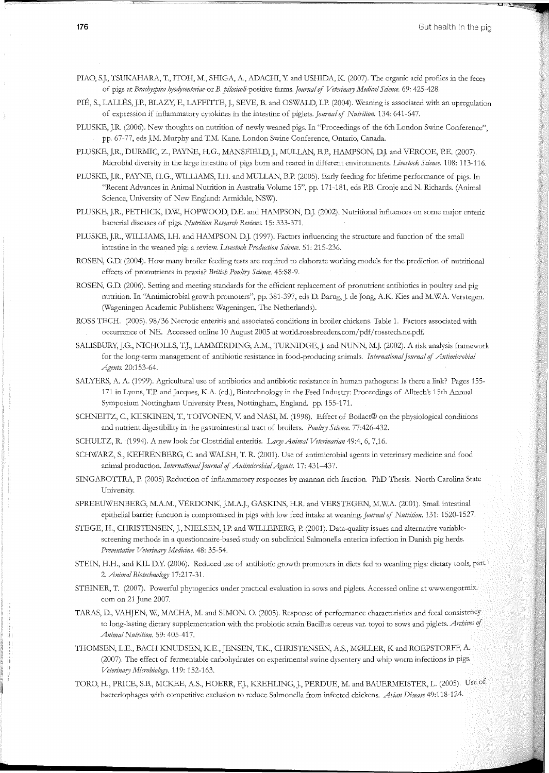PIAO, SJ., TSUKAHARA, T., ITOH, M., SHIGA, A., ADACHI, Y and USHIDA, K. (2007). The organic acid profiles in the feces of pigs at *Brachyspira hyocfysenteriae-or B. pilosicoli-positive* farms. *journal* of *Veterinary Medical Science.* 69: 425-428.

PIÉ, S., LALLÈS, J.P., BLAZY, F., LAFFITTE, J., SEVE, B. and OSWALD, I.P. (2004). Weaning is associated with an upregulation of expression if inflammatory cytokines in the intestine of piglets. *journal* of *Nutrition.* 134: 641-647.

PLUSKE, J.R. (2006). New thoughts on nutrition of newly weaned pigs. In "Proceedings of the 6th London Swine Conference", pp. 67-77, eds J.M. Murphy and T.M. Kane. London Swine Conference, Ontario, Canada.

PLUSKE, J.R., DURMIC, Z., PAYNE, H.G., MANSFIELD, J., MULLAN, B.P., HAMPSON, D.J. and VERCOE, P.E. (2007). Microbial diversity in the large intestine of pigs born and reared in different environments. *Livestock Science.* 108: 113-116.

PLUSKE, J.R., PAYNE, H.G., WILLIAMS, I.H. and MULLAN, B.P. (2005). Early feeding for lifetime performance of pigs. In "Recent Advances in Animal Nutrition in Australia Volume 15", pp. 171-181, eds P.B. Cronje and N. Richards. (Animal Science, University of New England: Armidale, NSW).

PLUSKE, J.R., PETHICK, D.W., HOPWOOD, D.E. and HAMPSON, D.J. (2002). Nutritional influences on some major enteric bacterial diseases of pigs. *Nutrition Research Reviews.* 15: 333-371.

PLUSKE, J.R., WILLIAMS, I.H. and HAMPSON. D.J. (1997). Factors influencing the structure and function of the small intestine in the weaned pig: a review. *Livestock Production Science.* 51: 215-236.

ROSEN, G.D. (2004). How many broiler feeding tests are required to elaborate working models for the prediction of nutritional effects of pronutrients in praxis? *British Poultry Science.* 45:S8-9.

ROSEN, G.D. (2006). Setting and meeting standards for the efficient replacement of pronutrient antibiotics in poultry and pig nutrition. In "Antimicrobial growth promoters", pp. 381-397, eds D. Barug,J. de Jong, A.K. Kies and M.WA. Verstegen. (Wageningen Academic Publishers: Wageningen, The Netherlands).

ROSS TECH. (2005). 98/36 Necrotic enteritis and associated conditions in broiler chickens. Table 1. Factors associated with occurrence of NE. Accessed online 10 August 2005 at world.rossbreeders.com/pdf/ rosstech.ne.pdf.

SALISBURY, J.G., NICHOLLS, T.J., LAMMERDING, A.M., TURNIDGE, J. and NUNN, M.J. (2002). A risk analysis framework for the long-term management of antibiotic resistance in food-producing animals. *International journal* of *Antimicrobial Agents.* 20:153-64.

SALYERS, A. A. (1999). Agricultural use of antibiotics and antibiotic resistance in human pathogens: Is there a link? Pages 155- 171 in Lyons, T.P. and Jacques, K.A. (ed.), Biotechnology in the Feed Industry: Proceedings of Alltech's 15th Annual Symposium Nottingham University Press, Nottingham, England. pp. 155-171.

SCHNEITZ, C., KIISKINEN, T., TOIVONEN, V. and NASI, M. (1998). Effect of Boilact® on the physiological conditions and nutrient digestibility in the gastrointestinal tract of broilers. *Poultry Science.* 77:426-432.

SCHULTZ, R. (1994). A new look for Clostridial enteritis. *Large Animal Veterinarian* 49:4, 6, 7, 16.

SCHWARZ, S., KEHRENBERG, C. and WALSH, T. R. (2001). Use of antimicrobial agents in veterinary medicine and food animal production. *International Journal* of *Antimicrobial Agents.* 17: 431-437.

SINGABOTTRA, P. (2005) Reduction of inflammatory responses by mannan rich fraction. PhD Thesis. North Carolina State University.

SPREEUWENBERG, M.A.M., VERDONK, J.M.A.J., GASKINS, H.R. and VERSTEGEN, M.W.A. (2001). Small intestinal epithelial barrier function is compromised in pigs with low feed intake at weaning. *Journal* of *Nutrition.* 131: 1520-1527.

STEGE, H., CHRISTENSEN, J., NIELSEN, J.P. and WILLEBERG, P. (2001). Data-quality issues and alternative variablescreening methods in a questionnaire-based study on subclinical Salmonella enterica infection in Danish pig herds. *Preventative Veterinary Medicine.* 48: 35-54.

STEIN, H.H., and KIL D.Y. (2006). Reduced use of antibiotic growth promoters in diets fed to weanling pigs: dietary tools, part 2. *Animal Biotechnology* 17:217-31.

STEINER, T. (2007). Powerful phytogenics under practical evaluation in sows and piglets. Accessed online at www.engormix. com on 21 June 2007.

TARAS, D., VAHJEN, W, MACHA, M. and SIMON. 0. (2005). Response of performance characteristics and fecal consistency to long-lasting dietary supplementation with the probiotic strain Bacillus cereus var. toyoi to sows and piglets. Archives of *Animal Nutrition.* 59: 405-417.

THOMSEN, L.E., BACH KNUDSEN, K.E.,JENSEN, T.K., CHRISTENSEN, A.S., M0LLER, K and ROEPSTORFF, A. (2007). The effect of fermentable carbohydrates on experimental swine dysentery and whip worm infections in pigs. *Veterinary Microbiology.* 119: 152-163.

TORO, H., PRICE, S.B., MCKEE, A.S., HOERR, F.J., KREHLING, J., PERDUE, M. and BAUERMEISTER, L. (2005). Use of bacteriophages with competitive exclusion to reduce Salmonella from infected chickens. *Avian Disease* 49:118-124.